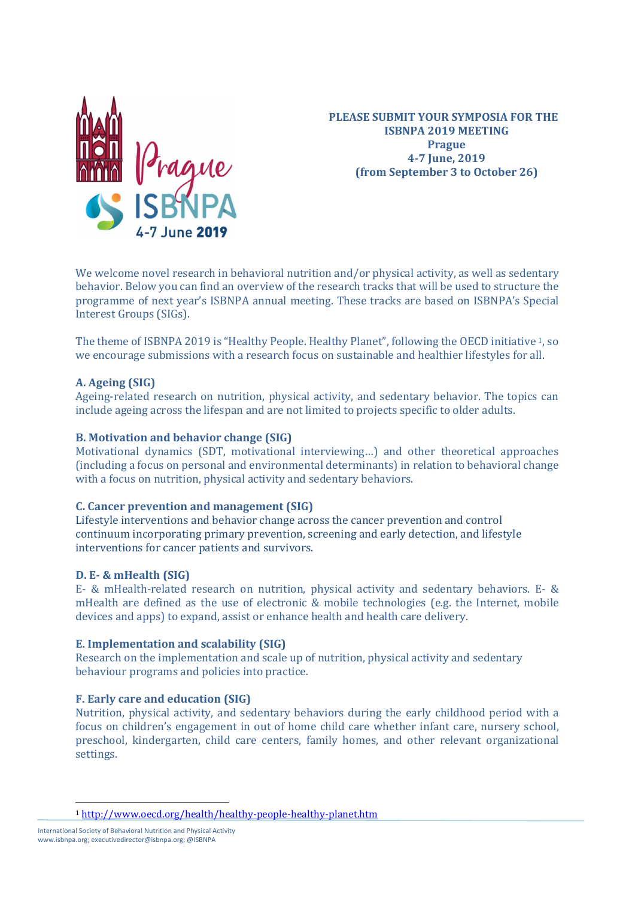

PLEASE SUBMIT YOUR SYMPOSIA FOR THE ISBNPA 2019 MEETING Prague 4-7 June, 2019 (from September 3 to October 26)

We welcome novel research in behavioral nutrition and/or physical activity, as well as sedentary behavior. Below you can find an overview of the research tracks that will be used to structure the programme of next year's ISBNPA annual meeting. These tracks are based on ISBNPA's Special Interest Groups (SIGs).

The theme of ISBNPA 2019 is "Healthy People. Healthy Planet", following the OECD initiative 1, so we encourage submissions with a research focus on sustainable and healthier lifestyles for all.

# A. Ageing (SIG)

Ageing-related research on nutrition, physical activity, and sedentary behavior. The topics can include ageing across the lifespan and are not limited to projects specific to older adults.

### B. Motivation and behavior change (SIG)

Motivational dynamics (SDT, motivational interviewing…) and other theoretical approaches (including a focus on personal and environmental determinants) in relation to behavioral change with a focus on nutrition, physical activity and sedentary behaviors.

# C. Cancer prevention and management (SIG)

Lifestyle interventions and behavior change across the cancer prevention and control continuum incorporating primary prevention, screening and early detection, and lifestyle interventions for cancer patients and survivors.

### D. E- & mHealth (SIG)

E- & mHealth-related research on nutrition, physical activity and sedentary behaviors. E- & mHealth are defined as the use of electronic & mobile technologies (e.g. the Internet, mobile devices and apps) to expand, assist or enhance health and health care delivery.

### E. Implementation and scalability (SIG)

Research on the implementation and scale up of nutrition, physical activity and sedentary behaviour programs and policies into practice.

# F. Early care and education (SIG)

Nutrition, physical activity, and sedentary behaviors during the early childhood period with a focus on children's engagement in out of home child care whether infant care, nursery school, preschool, kindergarten, child care centers, family homes, and other relevant organizational settings.

 $\overline{a}$ 

<sup>1</sup> http://www.oecd.org/health/healthy-people-healthy-planet.htm

International Society of Behavioral Nutrition and Physical Activity www.isbnpa.org; executivedirector@isbnpa.org; @ISBNPA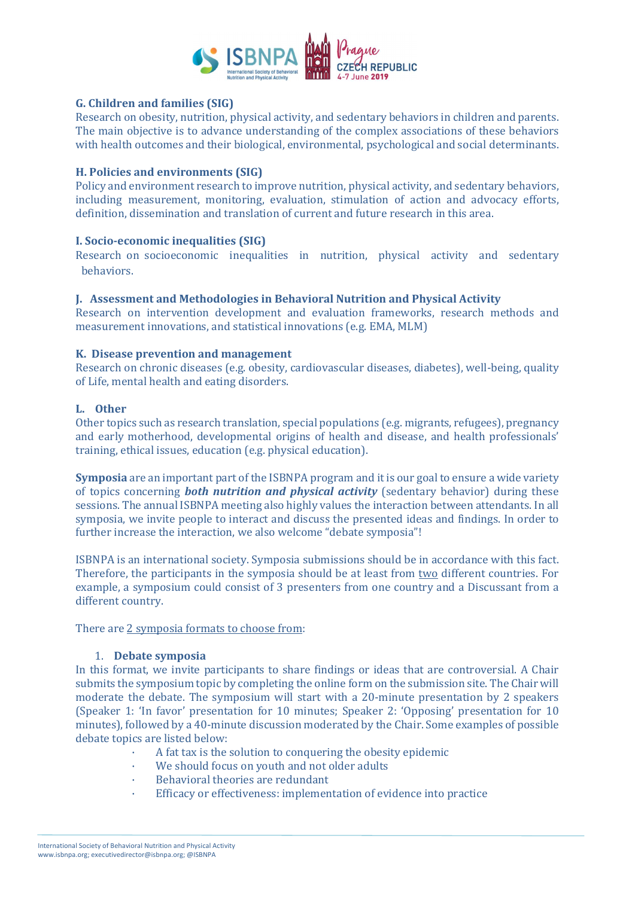

# G. Children and families (SIG)

Research on obesity, nutrition, physical activity, and sedentary behaviors in children and parents. The main objective is to advance understanding of the complex associations of these behaviors with health outcomes and their biological, environmental, psychological and social determinants.

#### H. Policies and environments (SIG)

Policy and environment research to improve nutrition, physical activity, and sedentary behaviors, including measurement, monitoring, evaluation, stimulation of action and advocacy efforts, definition, dissemination and translation of current and future research in this area.

### I. Socio-economic inequalities (SIG)

Research on socioeconomic inequalities in nutrition, physical activity and sedentary behaviors.

#### J. Assessment and Methodologies in Behavioral Nutrition and Physical Activity

Research on intervention development and evaluation frameworks, research methods and measurement innovations, and statistical innovations (e.g. EMA, MLM)

#### K. Disease prevention and management

Research on chronic diseases (e.g. obesity, cardiovascular diseases, diabetes), well-being, quality of Life, mental health and eating disorders.

#### L. Other

Other topics such as research translation, special populations (e.g. migrants, refugees), pregnancy and early motherhood, developmental origins of health and disease, and health professionals' training, ethical issues, education (e.g. physical education).

Symposia are an important part of the ISBNPA program and it is our goal to ensure a wide variety of topics concerning **both nutrition and physical activity** (sedentary behavior) during these sessions. The annual ISBNPA meeting also highly values the interaction between attendants. In all symposia, we invite people to interact and discuss the presented ideas and findings. In order to further increase the interaction, we also welcome "debate symposia"!

ISBNPA is an international society. Symposia submissions should be in accordance with this fact. Therefore, the participants in the symposia should be at least from two different countries. For example, a symposium could consist of 3 presenters from one country and a Discussant from a different country.

There are 2 symposia formats to choose from:

### 1. Debate symposia

In this format, we invite participants to share findings or ideas that are controversial. A Chair submits the symposium topic by completing the online form on the submission site. The Chair will moderate the debate. The symposium will start with a 20-minute presentation by 2 speakers (Speaker 1: 'In favor' presentation for 10 minutes; Speaker 2: 'Opposing' presentation for 10 minutes), followed by a 40-minute discussion moderated by the Chair. Some examples of possible debate topics are listed below:

- A fat tax is the solution to conquering the obesity epidemic
- We should focus on youth and not older adults
- Behavioral theories are redundant
- Efficacy or effectiveness: implementation of evidence into practice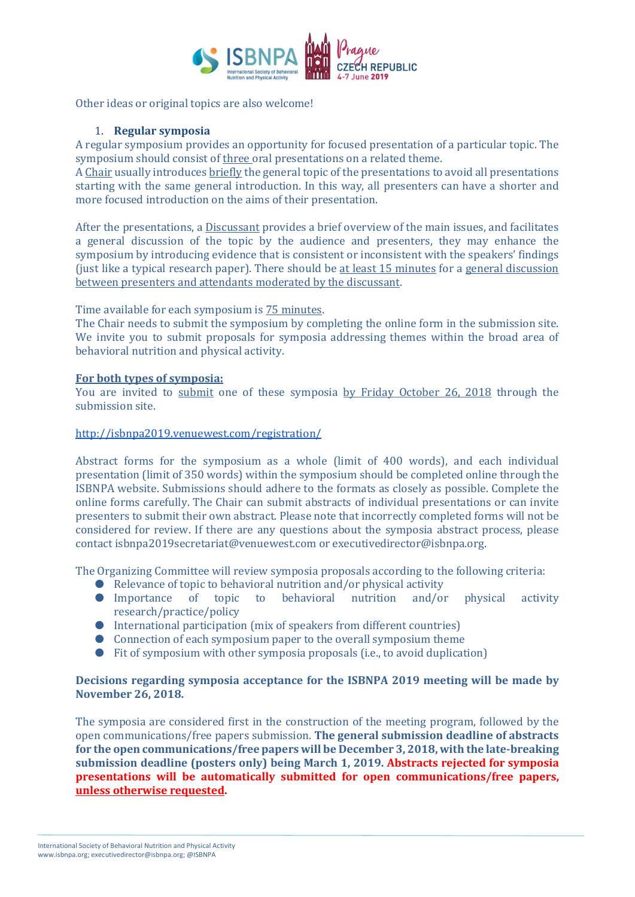

Other ideas or original topics are also welcome!

### 1. Regular symposia

A regular symposium provides an opportunity for focused presentation of a particular topic. The symposium should consist of three oral presentations on a related theme.

A Chair usually introduces briefly the general topic of the presentations to avoid all presentations starting with the same general introduction. In this way, all presenters can have a shorter and more focused introduction on the aims of their presentation.

After the presentations, a Discussant provides a brief overview of the main issues, and facilitates a general discussion of the topic by the audience and presenters, they may enhance the symposium by introducing evidence that is consistent or inconsistent with the speakers' findings (just like a typical research paper). There should be at least 15 minutes for a general discussion between presenters and attendants moderated by the discussant.

Time available for each symposium is 75 minutes.

The Chair needs to submit the symposium by completing the online form in the submission site. We invite you to submit proposals for symposia addressing themes within the broad area of behavioral nutrition and physical activity.

### For both types of symposia:

You are invited to submit one of these symposia by Friday October 26, 2018 through the submission site.

### http://isbnpa2019.venuewest.com/registration/

Abstract forms for the symposium as a whole (limit of 400 words), and each individual presentation (limit of 350 words) within the symposium should be completed online through the ISBNPA website. Submissions should adhere to the formats as closely as possible. Complete the online forms carefully. The Chair can submit abstracts of individual presentations or can invite presenters to submit their own abstract. Please note that incorrectly completed forms will not be considered for review. If there are any questions about the symposia abstract process, please contact isbnpa2019secretariat@venuewest.com or executivedirector@isbnpa.org.

The Organizing Committee will review symposia proposals according to the following criteria:

- Relevance of topic to behavioral nutrition and/or physical activity
- Importance of topic to behavioral nutrition and/or physical activity research/practice/policy
- International participation (mix of speakers from different countries)
- $\bullet$  Connection of each symposium paper to the overall symposium theme
- Fit of symposium with other symposia proposals (i.e., to avoid duplication)

### Decisions regarding symposia acceptance for the ISBNPA 2019 meeting will be made by November 26, 2018.

The symposia are considered first in the construction of the meeting program, followed by the open communications/free papers submission. The general submission deadline of abstracts for the open communications/free papers will be December 3, 2018, with the late-breaking submission deadline (posters only) being March 1, 2019. Abstracts rejected for symposia presentations will be automatically submitted for open communications/free papers, unless otherwise requested.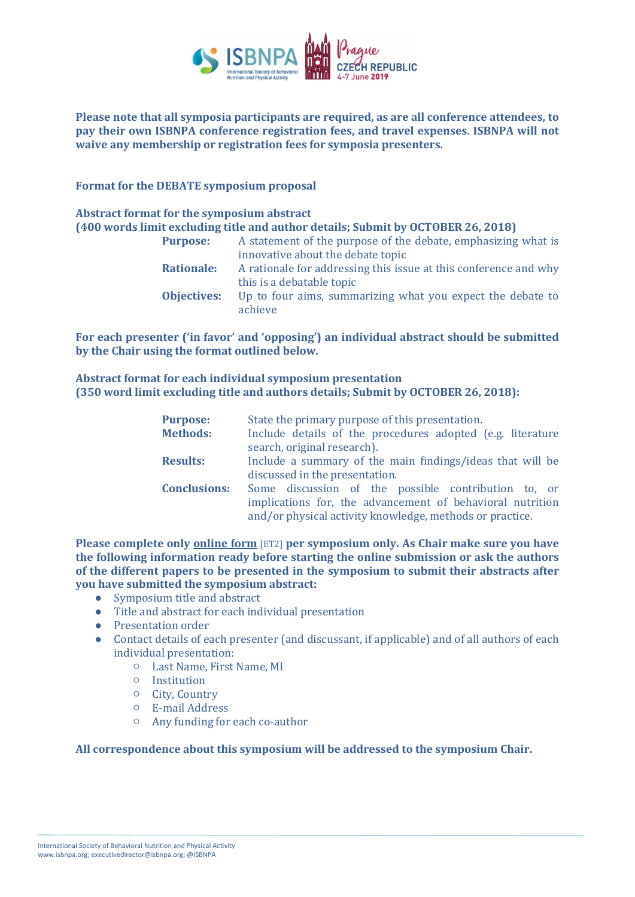

### Please note that all symposia participants are required, as are all conference attendees, to pay their own ISBNPA conference registration fees, and travel expenses. ISBNPA will not waive any membership or registration fees for symposia presenters.

### Format for the DEBATE symposium proposal

#### Abstract format for the symposium abstract (400 words limit excluding title and author details; Submit by OCTOBER 26, 2018)

| <b>Purpose:</b>    | A statement of the purpose of the debate, emphasizing what is    |
|--------------------|------------------------------------------------------------------|
|                    | innovative about the debate topic                                |
| <b>Rationale:</b>  | A rationale for addressing this issue at this conference and why |
|                    | this is a debatable topic                                        |
| <b>Objectives:</b> | Up to four aims, summarizing what you expect the debate to       |
|                    | achieve                                                          |

# For each presenter ('in favor' and 'opposing') an individual abstract should be submitted by the Chair using the format outlined below.

# Abstract format for each individual symposium presentation (350 word limit excluding title and authors details; Submit by OCTOBER 26, 2018):

| <b>Purpose:</b><br><b>Methods:</b> | State the primary purpose of this presentation.<br>Include details of the procedures adopted (e.g. literature<br>search, original research).                                 |  |  |  |
|------------------------------------|------------------------------------------------------------------------------------------------------------------------------------------------------------------------------|--|--|--|
| <b>Results:</b>                    | Include a summary of the main findings/ideas that will be<br>discussed in the presentation.                                                                                  |  |  |  |
| <b>Conclusions:</b>                | Some discussion of the possible contribution to, or<br>implications for, the advancement of behavioral nutrition<br>and/or physical activity knowledge, methods or practice. |  |  |  |

Please complete only online form [ET2] per symposium only. As Chair make sure you have the following information ready before starting the online submission or ask the authors of the different papers to be presented in the symposium to submit their abstracts after you have submitted the symposium abstract:

- Symposium title and abstract
- Title and abstract for each individual presentation
- Presentation order
- Contact details of each presenter (and discussant, if applicable) and of all authors of each individual presentation:
	- Last Name, First Name, MI
	- Institution
	- City, Country
	- E-mail Address
	- Any funding for each co-author

### All correspondence about this symposium will be addressed to the symposium Chair.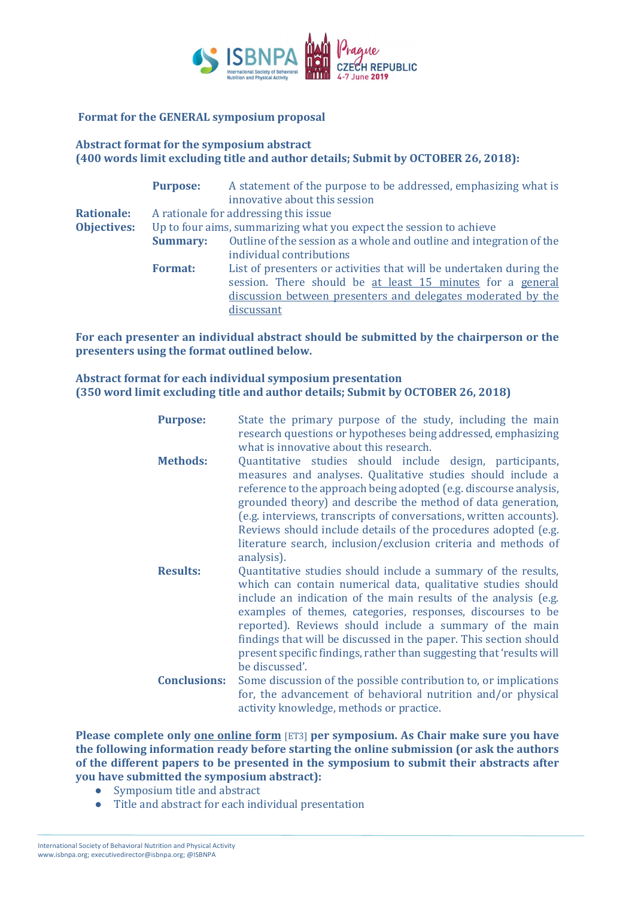

### Format for the GENERAL symposium proposal

# Abstract format for the symposium abstract (400 words limit excluding title and author details; Submit by OCTOBER 26, 2018):

|                    | <b>Purpose:</b> | A statement of the purpose to be addressed, emphasizing what is<br>innovative about this session |
|--------------------|-----------------|--------------------------------------------------------------------------------------------------|
| <b>Rationale:</b>  |                 | A rationale for addressing this issue                                                            |
| <b>Objectives:</b> |                 | Up to four aims, summarizing what you expect the session to achieve                              |
|                    | <b>Summary:</b> | Outline of the session as a whole and outline and integration of the                             |
|                    |                 | individual contributions                                                                         |
|                    | <b>Format:</b>  | List of presenters or activities that will be undertaken during the                              |
|                    |                 | session. There should be at least 15 minutes for a general                                       |
|                    |                 | discussion between presenters and delegates moderated by the                                     |
|                    |                 | discussant                                                                                       |

For each presenter an individual abstract should be submitted by the chairperson or the presenters using the format outlined below.

# Abstract format for each individual symposium presentation (350 word limit excluding title and author details; Submit by OCTOBER 26, 2018)

| <b>Purpose:</b>     | State the primary purpose of the study, including the main<br>research questions or hypotheses being addressed, emphasizing<br>what is innovative about this research.                                                                                                                                                                                                                                                                                                                    |
|---------------------|-------------------------------------------------------------------------------------------------------------------------------------------------------------------------------------------------------------------------------------------------------------------------------------------------------------------------------------------------------------------------------------------------------------------------------------------------------------------------------------------|
| <b>Methods:</b>     | Quantitative studies should include design, participants,<br>measures and analyses. Qualitative studies should include a<br>reference to the approach being adopted (e.g. discourse analysis,<br>grounded theory) and describe the method of data generation,<br>(e.g. interviews, transcripts of conversations, written accounts).<br>Reviews should include details of the procedures adopted (e.g.<br>literature search, inclusion/exclusion criteria and methods of<br>analysis).     |
| <b>Results:</b>     | Quantitative studies should include a summary of the results,<br>which can contain numerical data, qualitative studies should<br>include an indication of the main results of the analysis (e.g.<br>examples of themes, categories, responses, discourses to be<br>reported). Reviews should include a summary of the main<br>findings that will be discussed in the paper. This section should<br>present specific findings, rather than suggesting that 'results will<br>be discussed'. |
| <b>Conclusions:</b> | Some discussion of the possible contribution to, or implications<br>for, the advancement of behavioral nutrition and/or physical<br>activity knowledge, methods or practice.                                                                                                                                                                                                                                                                                                              |

Please complete only <u>one online form</u> [ET3] per symposium. As Chair make sure you have the following information ready before starting the online submission (or ask the authors of the different papers to be presented in the symposium to submit their abstracts after you have submitted the symposium abstract):

- Symposium title and abstract
- Title and abstract for each individual presentation